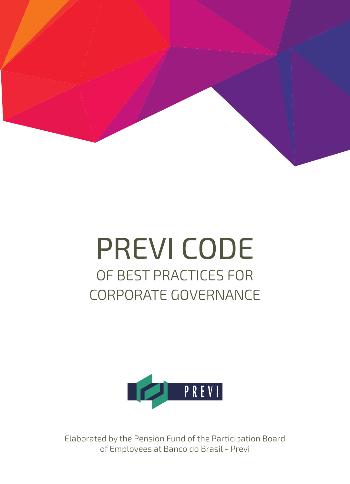

# **PREVI CODE** OF BEST PRACTICES FOR **CORPORATE GOVERNANCE**



Elaborated by the Pension Fund of the Participation Board of Employees at Banco do Brasil - Previ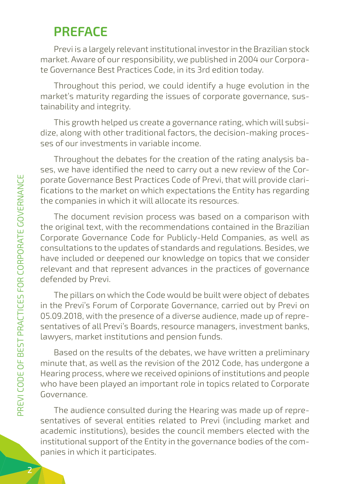### **PREFACE**

Previ is a largely relevant institutional investor in the Brazilian stock market. Aware of our responsibility, we published in 2004 our Corporate Governance Best Practices Code, in its 3rd edition today.

Throughout this period, we could identify a huge evolution in the market's maturity regarding the issues of corporate governance, sustainability and integrity.

This growth helped us create a governance rating, which will subsidize, along with other traditional factors, the decision-making processes of our investments in variable income.

Throughout the debates for the creation of the rating analysis bases, we have identified the need to carry out a new review of the Corporate Governance Best Practices Code of Previ, that will provide clarifications to the market on which expectations the Entity has regarding the companies in which it will allocate its resources.

The document revision process was based on a comparison with the original text, with the recommendations contained in the Brazilian Corporate Governance Code for Publicly-Held Companies, as well as consultations to the updates of standards and regulations. Besides, we have included or deepened our knowledge on topics that we consider relevant and that represent advances in the practices of governance defended by Previ.

The pillars on which the Code would be built were object of debates in the Previ's Forum of Corporate Governance, carried out by Previ on 05.09.2018, with the presence of a diverse audience, made up of representatives of all Previ's Boards, resource managers, investment banks, lawyers, market institutions and pension funds.

Based on the results of the debates, we have written a preliminary minute that, as well as the revision of the 2012 Code, has undergone a Hearing process, where we received opinions of institutions and people who have been played an important role in topics related to Corporate Governance.

The audience consulted during the Hearing was made up of representatives of several entities related to Previ (including market and academic institutions), besides the council members elected with the institutional support of the Entity in the governance bodies of the companies in which it participates.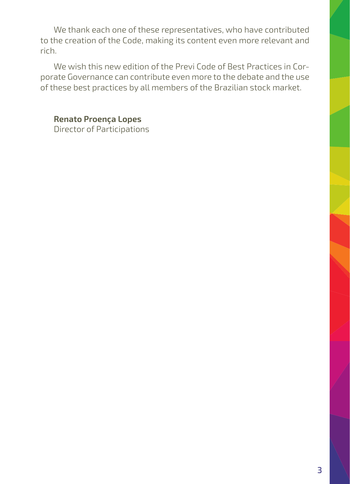We thank each one of these representatives, who have contributed to the creation of the Code, making its content even more relevant and rich.

We wish this new edition of the Previ Code of Best Practices in Corporate Governance can contribute even more to the debate and the use of these best practices by all members of the Brazilian stock market.

**Renato Proença Lopes** Director of Participations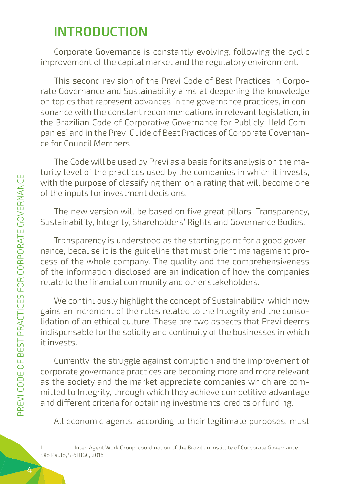### **INTRODUCTION**

Corporate Governance is constantly evolving, following the cyclic improvement of the capital market and the regulatory environment.

This second revision of the Previ Code of Best Practices in Corporate Governance and Sustainability aims at deepening the knowledge on topics that represent advances in the governance practices, in consonance with the constant recommendations in relevant legislation, in the Brazilian Code of Corporative Governance for Publicly-Held Companies<sup>1</sup> and in the Previ Guide of Best Practices of Corporate Governance for Council Members.

The Code will be used by Previ as a basis for its analysis on the maturity level of the practices used by the companies in which it invests, with the purpose of classifying them on a rating that will become one of the inputs for investment decisions.

The new version will be based on five great pillars: Transparency, Sustainability, Integrity, Shareholders' Rights and Governance Bodies.

Transparency is understood as the starting point for a good governance, because it is the guideline that must orient management process of the whole company. The quality and the comprehensiveness of the information disclosed are an indication of how the companies relate to the financial community and other stakeholders.

We continuously highlight the concept of Sustainability, which now gains an increment of the rules related to the Integrity and the consolidation of an ethical culture. These are two aspects that Previ deems indispensable for the solidity and continuity of the businesses in which it invests.

Currently, the struggle against corruption and the improvement of corporate governance practices are becoming more and more relevant as the society and the market appreciate companies which are committed to Integrity, through which they achieve competitive advantage and different criteria for obtaining investments, credits or funding.

All economic agents, according to their legitimate purposes, must

<sup>1</sup> Inter-Agent Work Group; coordination of the Brazilian Institute of Corporate Governance. São Paulo, SP: IBGC, 2016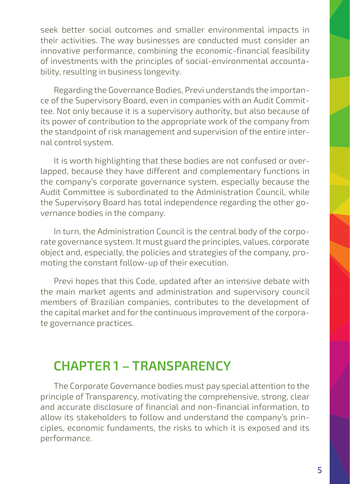seek better social outcomes and smaller environmental impacts in their activities. The way businesses are conducted must consider an innovative performance, combining the economic-financial feasibility of investments with the principles of social-environmental accountability, resulting in business longevity.

Regarding the Governance Bodies, Previ understands the importance of the Supervisory Board, even in companies with an Audit Committee. Not only because it is a supervisory authority, but also because of its power of contribution to the appropriate work of the company from the standpoint of risk management and supervision of the entire internal control system.

It is worth highlighting that these bodies are not confused or overlapped, because they have different and complementary functions in the company's corporate governance system, especially because the Audit Committee is subordinated to the Administration Council, while the Supervisory Board has total independence regarding the other governance bodies in the company.

In turn, the Administration Council is the central body of the corporate governance system. It must guard the principles, values, corporate object and, especially, the policies and strategies of the company, promoting the constant follow-up of their execution.

Previ hopes that this Code, updated after an intensive debate with the main market agents and administration and supervisory council members of Brazilian companies, contributes to the development of the capital market and for the continuous improvement of the corporate governance practices.

### **CHAPTER 1 – TRANSPARENCY**

The Corporate Governance bodies must pay special attention to the principle of Transparency, motivating the comprehensive, strong, clear and accurate disclosure of financial and non-financial information, to allow its stakeholders to follow and understand the company's principles, economic fundaments, the risks to which it is exposed and its performance.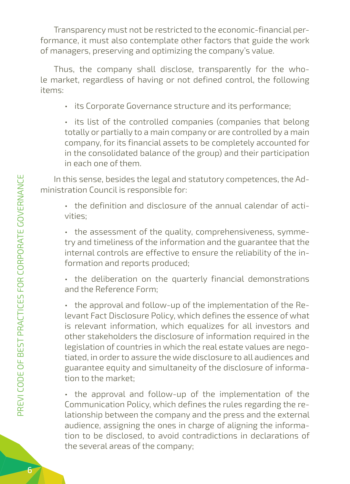Transparency must not be restricted to the economic-financial performance, it must also contemplate other factors that guide the work of managers, preserving and optimizing the company's value.

Thus, the company shall disclose, transparently for the whole market, regardless of having or not defined control, the following items:

• its Corporate Governance structure and its performance;

• its list of the controlled companies (companies that belong totally or partially to a main company or are controlled by a main company, for its financial assets to be completely accounted for in the consolidated balance of the group) and their participation in each one of them.

In this sense, besides the legal and statutory competences, the Administration Council is responsible for:

• the definition and disclosure of the annual calendar of activities;

• the assessment of the quality, comprehensiveness, symmetry and timeliness of the information and the guarantee that the internal controls are effective to ensure the reliability of the information and reports produced;

• the deliberation on the quarterly financial demonstrations and the Reference Form;

• the approval and follow-up of the implementation of the Relevant Fact Disclosure Policy, which defines the essence of what is relevant information, which equalizes for all investors and other stakeholders the disclosure of information required in the legislation of countries in which the real estate values are negotiated, in order to assure the wide disclosure to all audiences and guarantee equity and simultaneity of the disclosure of information to the market;

• the approval and follow-up of the implementation of the Communication Policy, which defines the rules regarding the relationship between the company and the press and the external audience, assigning the ones in charge of aligning the information to be disclosed, to avoid contradictions in declarations of the several areas of the company;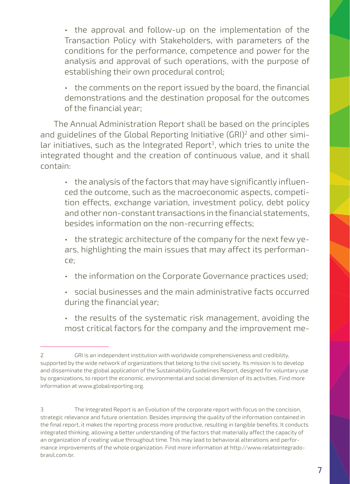• the approval and follow-up on the implementation of the Transaction Policy with Stakeholders, with parameters of the conditions for the performance, competence and power for the analysis and approval of such operations, with the purpose of establishing their own procedural control;

• the comments on the report issued by the board, the financial demonstrations and the destination proposal for the outcomes of the financial year;

The Annual Administration Report shall be based on the principles and guidelines of the Global Reporting Initiative (GRI)<sup>2</sup> and other similar initiatives, such as the Integrated Report<sup>3</sup>, which tries to unite the integrated thought and the creation of continuous value, and it shall contain:

• the analysis of the factors that may have significantly influenced the outcome, such as the macroeconomic aspects, competition effects, exchange variation, investment policy, debt policy and other non-constant transactions in the financial statements, besides information on the non-recurring effects;

• the strategic architecture of the company for the next few years, highlighting the main issues that may affect its performance;

- the information on the Corporate Governance practices used;
- social businesses and the main administrative facts occurred during the financial year;
- the results of the systematic risk management, avoiding the most critical factors for the company and the improvement me-

<sup>2</sup> GRI is an independent institution with worldwide comprehensiveness and credibility, supported by the wide network of organizations that belong to the civil society. Its mission is to develop and disseminate the global application of the Sustainability Guidelines Report, designed for voluntary use by organizations, to report the economic, environmental and social dimension of its activities. Find more information at www.globalreporting.org.

<sup>3</sup> The Integrated Report is an Evolution of the corporate report with focus on the concision, strategic relevance and future orientation. Besides improving the quality of the information contained in the final report, it makes the reporting process more productive, resulting in tangible benefits. It conducts integrated thinking, allowing a better understanding of the factors that materially affect the capacity of an organization of creating value throughout time. This may lead to behavioral alterations and performance improvements of the whole organization. Find more information at http://www.relatointegradobrasil.com.br.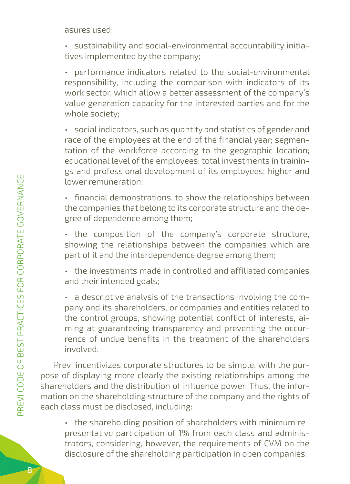asures used;

• sustainability and social-environmental accountability initiatives implemented by the company;

• performance indicators related to the social-environmental responsibility, including the comparison with indicators of its work sector, which allow a better assessment of the company's value generation capacity for the interested parties and for the whole society;

• social indicators, such as quantity and statistics of gender and race of the employees at the end of the financial year; segmentation of the workforce according to the geographic location; educational level of the employees; total investments in trainings and professional development of its employees; higher and lower remuneration;

• financial demonstrations, to show the relationships between the companies that belong to its corporate structure and the degree of dependence among them;

• the composition of the company's corporate structure, showing the relationships between the companies which are part of it and the interdependence degree among them;

• the investments made in controlled and affiliated companies and their intended goals;

• a descriptive analysis of the transactions involving the company and its shareholders, or companies and entities related to the control groups, showing potential conflict of interests, aiming at guaranteeing transparency and preventing the occurrence of undue benefits in the treatment of the shareholders involved.

Previ incentivizes corporate structures to be simple, with the purpose of displaying more clearly the existing relationships among the shareholders and the distribution of influence power. Thus, the information on the shareholding structure of the company and the rights of each class must be disclosed, including:

• the shareholding position of shareholders with minimum representative participation of 1% from each class and administrators, considering, however, the requirements of CVM on the disclosure of the shareholding participation in open companies;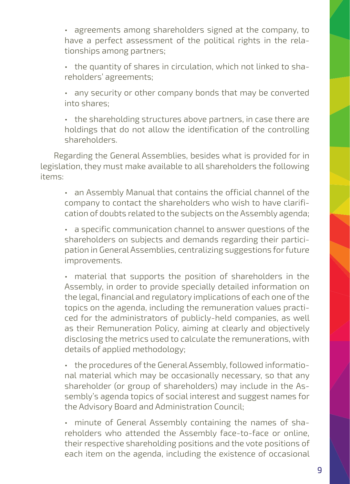• agreements among shareholders signed at the company, to have a perfect assessment of the political rights in the relationships among partners;

• the quantity of shares in circulation, which not linked to shareholders' agreements;

• any security or other company bonds that may be converted into shares;

• the shareholding structures above partners, in case there are holdings that do not allow the identification of the controlling shareholders.

Regarding the General Assemblies, besides what is provided for in legislation, they must make available to all shareholders the following items:

• an Assembly Manual that contains the official channel of the company to contact the shareholders who wish to have clarification of doubts related to the subjects on the Assembly agenda;

• a specific communication channel to answer questions of the shareholders on subjects and demands regarding their participation in General Assemblies, centralizing suggestions for future improvements.

• material that supports the position of shareholders in the Assembly, in order to provide specially detailed information on the legal, financial and regulatory implications of each one of the topics on the agenda, including the remuneration values practiced for the administrators of publicly-held companies, as well as their Remuneration Policy, aiming at clearly and objectively disclosing the metrics used to calculate the remunerations, with details of applied methodology;

• the procedures of the General Assembly, followed informational material which may be occasionally necessary, so that any shareholder (or group of shareholders) may include in the Assembly's agenda topics of social interest and suggest names for the Advisory Board and Administration Council;

• minute of General Assembly containing the names of shareholders who attended the Assembly face-to-face or online, their respective shareholding positions and the vote positions of each item on the agenda, including the existence of occasional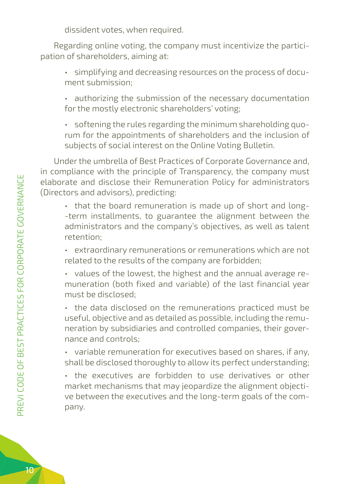dissident votes, when required.

Regarding online voting, the company must incentivize the participation of shareholders, aiming at:

- simplifying and decreasing resources on the process of document submission;
- authorizing the submission of the necessary documentation for the mostly electronic shareholders' voting;
- softening the rules regarding the minimum shareholding quorum for the appointments of shareholders and the inclusion of subjects of social interest on the Online Voting Bulletin.

Under the umbrella of Best Practices of Corporate Governance and, in compliance with the principle of Transparency, the company must elaborate and disclose their Remuneration Policy for administrators (Directors and advisors), predicting:

- that the board remuneration is made up of short and long- -term installments, to guarantee the alignment between the administrators and the company's objectives, as well as talent retention;
- extraordinary remunerations or remunerations which are not related to the results of the company are forbidden;
- values of the lowest, the highest and the annual average remuneration (both fixed and variable) of the last financial year must be disclosed;
- the data disclosed on the remunerations practiced must be useful, objective and as detailed as possible, including the remuneration by subsidiaries and controlled companies, their governance and controls;
- variable remuneration for executives based on shares, if any, shall be disclosed thoroughly to allow its perfect understanding;

• the executives are forbidden to use derivatives or other market mechanisms that may jeopardize the alignment objective between the executives and the long-term goals of the company.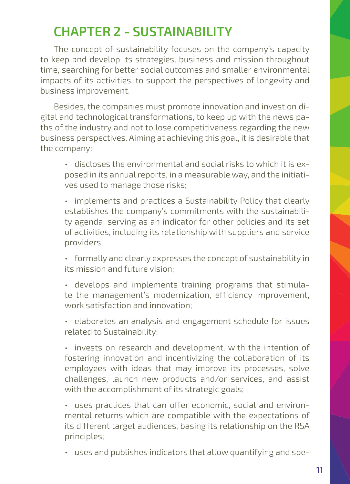## **CHAPTER 2 - SUSTAINABILITY**

The concept of sustainability focuses on the company's capacity to keep and develop its strategies, business and mission throughout time, searching for better social outcomes and smaller environmental impacts of its activities, to support the perspectives of longevity and business improvement.

Besides, the companies must promote innovation and invest on digital and technological transformations, to keep up with the news paths of the industry and not to lose competitiveness regarding the new business perspectives. Aiming at achieving this goal, it is desirable that the company:

- discloses the environmental and social risks to which it is exposed in its annual reports, in a measurable way, and the initiatives used to manage those risks;
- implements and practices a Sustainability Policy that clearly establishes the company's commitments with the sustainability agenda, serving as an indicator for other policies and its set of activities, including its relationship with suppliers and service providers;
- formally and clearly expresses the concept of sustainability in its mission and future vision;
- develops and implements training programs that stimulate the management's modernization, efficiency improvement, work satisfaction and innovation;
- elaborates an analysis and engagement schedule for issues related to Sustainability;

• invests on research and development, with the intention of fostering innovation and incentivizing the collaboration of its employees with ideas that may improve its processes, solve challenges, launch new products and/or services, and assist with the accomplishment of its strategic goals;

- uses practices that can offer economic, social and environmental returns which are compatible with the expectations of its different target audiences, basing its relationship on the RSA principles;
- uses and publishes indicators that allow quantifying and spe-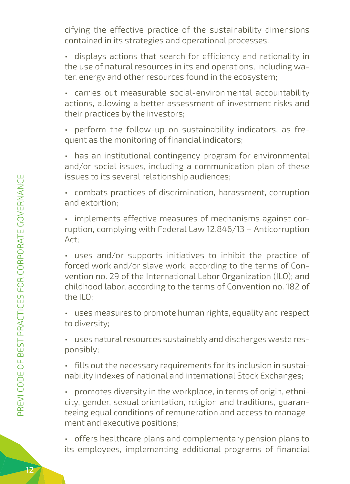cifying the effective practice of the sustainability dimensions contained in its strategies and operational processes;

• displays actions that search for efficiency and rationality in the use of natural resources in its end operations, including water, energy and other resources found in the ecosystem;

• carries out measurable social-environmental accountability actions, allowing a better assessment of investment risks and their practices by the investors;

• perform the follow-up on sustainability indicators, as frequent as the monitoring of financial indicators;

• has an institutional contingency program for environmental and/or social issues, including a communication plan of these issues to its several relationship audiences;

• combats practices of discrimination, harassment, corruption and extortion;

• implements effective measures of mechanisms against corruption, complying with Federal Law 12.846/13 – Anticorruption Act;

• uses and/or supports initiatives to inhibit the practice of forced work and/or slave work, according to the terms of Convention no. 29 of the International Labor Organization (ILO); and childhood labor, according to the terms of Convention no. 182 of the ILO;

• uses measures to promote human rights, equality and respect to diversity;

• uses natural resources sustainably and discharges waste responsibly;

• fills out the necessary requirements for its inclusion in sustainability indexes of national and international Stock Exchanges;

• promotes diversity in the workplace, in terms of origin, ethnicity, gender, sexual orientation, religion and traditions, guaranteeing equal conditions of remuneration and access to management and executive positions;

• offers healthcare plans and complementary pension plans to its employees, implementing additional programs of financial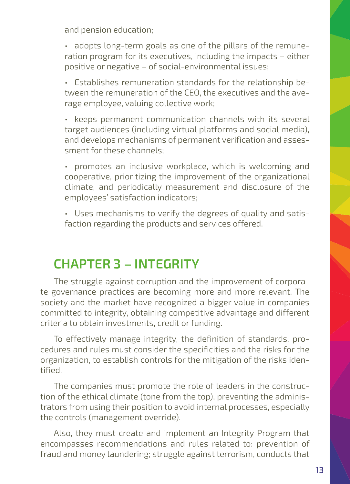and pension education;

• adopts long-term goals as one of the pillars of the remuneration program for its executives, including the impacts – either positive or negative – of social-environmental issues;

• Establishes remuneration standards for the relationship between the remuneration of the CEO, the executives and the average employee, valuing collective work;

• keeps permanent communication channels with its several target audiences (including virtual platforms and social media), and develops mechanisms of permanent verification and assessment for these channels;

• promotes an inclusive workplace, which is welcoming and cooperative, prioritizing the improvement of the organizational climate, and periodically measurement and disclosure of the employees' satisfaction indicators;

• Uses mechanisms to verify the degrees of quality and satisfaction regarding the products and services offered.

# **CHAPTER 3 – INTEGRITY**

The struggle against corruption and the improvement of corporate governance practices are becoming more and more relevant. The society and the market have recognized a bigger value in companies committed to integrity, obtaining competitive advantage and different criteria to obtain investments, credit or funding.

To effectively manage integrity, the definition of standards, procedures and rules must consider the specificities and the risks for the organization, to establish controls for the mitigation of the risks identified.

The companies must promote the role of leaders in the construction of the ethical climate (tone from the top), preventing the administrators from using their position to avoid internal processes, especially the controls (management override).

Also, they must create and implement an Integrity Program that encompasses recommendations and rules related to: prevention of fraud and money laundering; struggle against terrorism, conducts that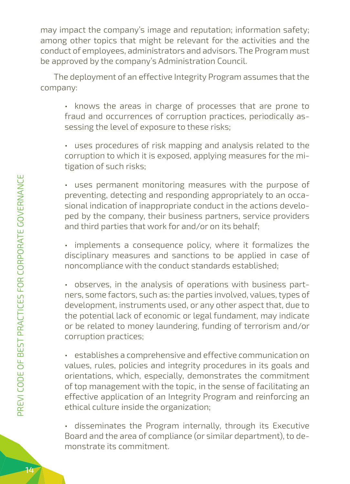may impact the company's image and reputation; information safety; among other topics that might be relevant for the activities and the conduct of employees, administrators and advisors. The Program must be approved by the company's Administration Council.

The deployment of an effective Integrity Program assumes that the company:

• knows the areas in charge of processes that are prone to fraud and occurrences of corruption practices, periodically assessing the level of exposure to these risks;

• uses procedures of risk mapping and analysis related to the corruption to which it is exposed, applying measures for the mitigation of such risks;

• uses permanent monitoring measures with the purpose of preventing, detecting and responding appropriately to an occasional indication of inappropriate conduct in the actions developed by the company, their business partners, service providers and third parties that work for and/or on its behalf;

• implements a consequence policy, where it formalizes the disciplinary measures and sanctions to be applied in case of noncompliance with the conduct standards established;

• observes, in the analysis of operations with business partners, some factors, such as: the parties involved, values, types of development, instruments used, or any other aspect that, due to the potential lack of economic or legal fundament, may indicate or be related to money laundering, funding of terrorism and/or corruption practices;

• establishes a comprehensive and effective communication on values, rules, policies and integrity procedures in its goals and orientations, which, especially, demonstrates the commitment of top management with the topic, in the sense of facilitating an effective application of an Integrity Program and reinforcing an ethical culture inside the organization;

• disseminates the Program internally, through its Executive Board and the area of compliance (or similar department), to demonstrate its commitment.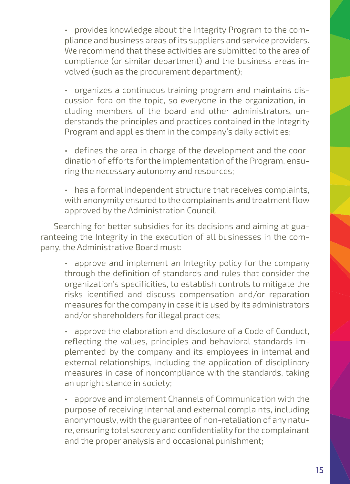• provides knowledge about the Integrity Program to the compliance and business areas of its suppliers and service providers. We recommend that these activities are submitted to the area of compliance (or similar department) and the business areas involved (such as the procurement department);

• organizes a continuous training program and maintains discussion fora on the topic, so everyone in the organization, including members of the board and other administrators, understands the principles and practices contained in the Integrity Program and applies them in the company's daily activities;

• defines the area in charge of the development and the coordination of efforts for the implementation of the Program, ensuring the necessary autonomy and resources;

• has a formal independent structure that receives complaints, with anonymity ensured to the complainants and treatment flow approved by the Administration Council.

Searching for better subsidies for its decisions and aiming at guaranteeing the Integrity in the execution of all businesses in the company, the Administrative Board must:

• approve and implement an Integrity policy for the company through the definition of standards and rules that consider the organization's specificities, to establish controls to mitigate the risks identified and discuss compensation and/or reparation measures for the company in case it is used by its administrators and/or shareholders for illegal practices;

• approve the elaboration and disclosure of a Code of Conduct, reflecting the values, principles and behavioral standards implemented by the company and its employees in internal and external relationships, including the application of disciplinary measures in case of noncompliance with the standards, taking an upright stance in society;

• approve and implement Channels of Communication with the purpose of receiving internal and external complaints, including anonymously, with the guarantee of non-retaliation of any nature, ensuring total secrecy and confidentiality for the complainant and the proper analysis and occasional punishment;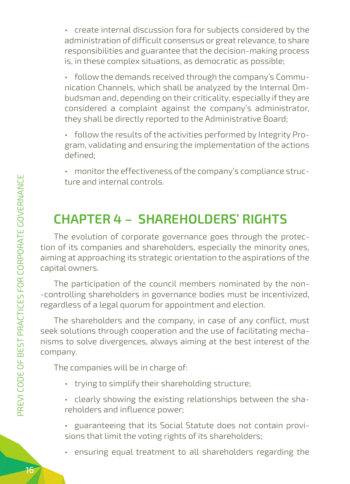• create internal discussion fora for subjects considered by the administration of difficult consensus or great relevance, to share responsibilities and guarantee that the decision-making process is, in these complex situations, as democratic as possible;

• follow the demands received through the company's Communication Channels, which shall be analyzed by the Internal Ombudsman and, depending on their criticality, especially if they are considered a complaint against the company's administrator, they shall be directly reported to the Administrative Board;

- follow the results of the activities performed by Integrity Program, validating and ensuring the implementation of the actions defined;
- monitor the effectiveness of the company's compliance structure and internal controls.

# **CHAPTER 4 – SHAREHOLDERS' RIGHTS**

The evolution of corporate governance goes through the protection of its companies and shareholders, especially the minority ones, aiming at approaching its strategic orientation to the aspirations of the capital owners.

The participation of the council members nominated by the non- -controlling shareholders in governance bodies must be incentivized, regardless of a legal quorum for appointment and election.

The shareholders and the company, in case of any conflict, must seek solutions through cooperation and the use of facilitating mechanisms to solve divergences, always aiming at the best interest of the company.

The companies will be in charge of:

- trying to simplify their shareholding structure;
- clearly showing the existing relationships between the shareholders and influence power;
- guaranteeing that its Social Statute does not contain provisions that limit the voting rights of its shareholders;
- ensuring equal treatment to all shareholders regarding the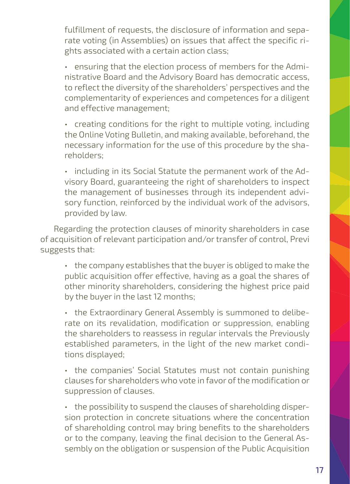fulfillment of requests, the disclosure of information and separate voting (in Assemblies) on issues that affect the specific rights associated with a certain action class;

• ensuring that the election process of members for the Administrative Board and the Advisory Board has democratic access, to reflect the diversity of the shareholders' perspectives and the complementarity of experiences and competences for a diligent and effective management;

• creating conditions for the right to multiple voting, including the Online Voting Bulletin, and making available, beforehand, the necessary information for the use of this procedure by the shareholders;

• including in its Social Statute the permanent work of the Advisory Board, guaranteeing the right of shareholders to inspect the management of businesses through its independent advisory function, reinforced by the individual work of the advisors, provided by law.

Regarding the protection clauses of minority shareholders in case of acquisition of relevant participation and/or transfer of control, Previ suggests that:

• the company establishes that the buyer is obliged to make the public acquisition offer effective, having as a goal the shares of other minority shareholders, considering the highest price paid by the buyer in the last 12 months;

• the Extraordinary General Assembly is summoned to deliberate on its revalidation, modification or suppression, enabling the shareholders to reassess in regular intervals the Previously established parameters, in the light of the new market conditions displayed;

• the companies' Social Statutes must not contain punishing clauses for shareholders who vote in favor of the modification or suppression of clauses.

• the possibility to suspend the clauses of shareholding dispersion protection in concrete situations where the concentration of shareholding control may bring benefits to the shareholders or to the company, leaving the final decision to the General Assembly on the obligation or suspension of the Public Acquisition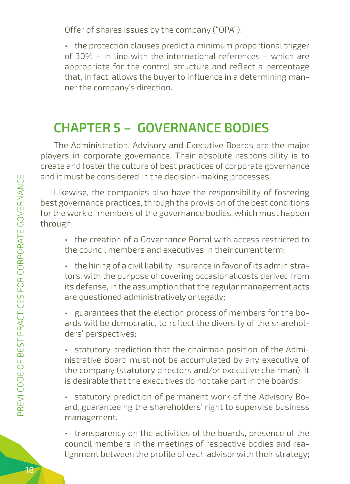Offer of shares issues by the company ("OPA").

• the protection clauses predict a minimum proportional trigger of 30% – in line with the international references – which are appropriate for the control structure and reflect a percentage that, in fact, allows the buyer to influence in a determining manner the company's direction.

# **CHAPTER 5 – GOVERNANCE BODIES**

The Administration, Advisory and Executive Boards are the major players in corporate governance. Their absolute responsibility is to create and foster the culture of best practices of corporate governance and it must be considered in the decision-making processes.

Likewise, the companies also have the responsibility of fostering best governance practices, through the provision of the best conditions for the work of members of the governance bodies, which must happen through:

• the creation of a Governance Portal with access restricted to the council members and executives in their current term;

- the hiring of a civil liability insurance in favor of its administrators, with the purpose of covering occasional costs derived from its defense, in the assumption that the regular management acts are questioned administratively or legally;
- guarantees that the election process of members for the boards will be democratic, to reflect the diversity of the shareholders' perspectives;

• statutory prediction that the chairman position of the Administrative Board must not be accumulated by any executive of the company (statutory directors and/or executive chairman). It is desirable that the executives do not take part in the boards;

• statutory prediction of permanent work of the Advisory Board, guaranteeing the shareholders' right to supervise business management.

• transparency on the activities of the boards, presence of the council members in the meetings of respective bodies and realignment between the profile of each advisor with their strategy;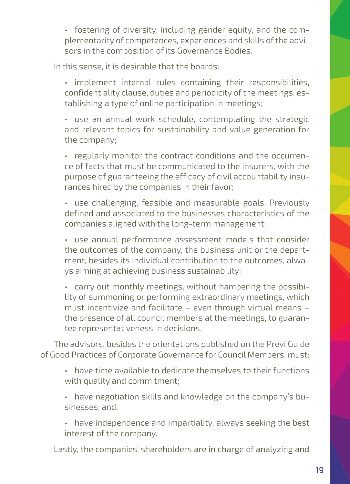• fostering of diversity, including gender equity, and the complementarity of competences, experiences and skills of the advisors in the composition of its Governance Bodies.

In this sense, it is desirable that the boards:

• implement internal rules containing their responsibilities, confidentiality clause, duties and periodicity of the meetings, establishing a type of online participation in meetings;

• use an annual work schedule, contemplating the strategic and relevant topics for sustainability and value generation for the company;

• regularly monitor the contract conditions and the occurrence of facts that must be communicated to the insurers, with the purpose of guaranteeing the efficacy of civil accountability insurances hired by the companies in their favor;

• use challenging, feasible and measurable goals, Previously defined and associated to the businesses characteristics of the companies aligned with the long-term management;

• use annual performance assessment models that consider the outcomes of the company, the business unit or the department, besides its individual contribution to the outcomes, always aiming at achieving business sustainability;

• carry out monthly meetings, without hampering the possibility of summoning or performing extraordinary meetings, which must incentivize and facilitate – even through virtual means – the presence of all council members at the meetings, to guarantee representativeness in decisions.

The advisors, besides the orientations published on the Previ Guide of Good Practices of Corporate Governance for Council Members, must:

• have time available to dedicate themselves to their functions with quality and commitment;

- have negotiation skills and knowledge on the company's businesses; and,
- have independence and impartiality, always seeking the best interest of the company.

Lastly, the companies' shareholders are in charge of analyzing and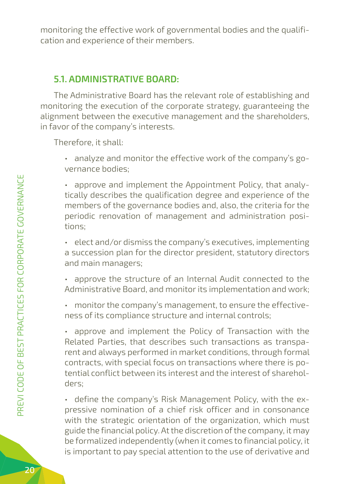monitoring the effective work of governmental bodies and the qualification and experience of their members.

#### **5.1. ADMINISTRATIVE BOARD:**

The Administrative Board has the relevant role of establishing and monitoring the execution of the corporate strategy, guaranteeing the alignment between the executive management and the shareholders, in favor of the company's interests.

Therefore, it shall:

• analyze and monitor the effective work of the company's governance bodies;

• approve and implement the Appointment Policy, that analytically describes the qualification degree and experience of the members of the governance bodies and, also, the criteria for the periodic renovation of management and administration positions;

• elect and/or dismiss the company's executives, implementing a succession plan for the director president, statutory directors and main managers;

• approve the structure of an Internal Audit connected to the Administrative Board, and monitor its implementation and work;

• monitor the company's management, to ensure the effectiveness of its compliance structure and internal controls;

• approve and implement the Policy of Transaction with the Related Parties, that describes such transactions as transparent and always performed in market conditions, through formal contracts, with special focus on transactions where there is potential conflict between its interest and the interest of shareholders;

• define the company's Risk Management Policy, with the expressive nomination of a chief risk officer and in consonance with the strategic orientation of the organization, which must guide the financial policy. At the discretion of the company, it may be formalized independently (when it comes to financial policy, it is important to pay special attention to the use of derivative and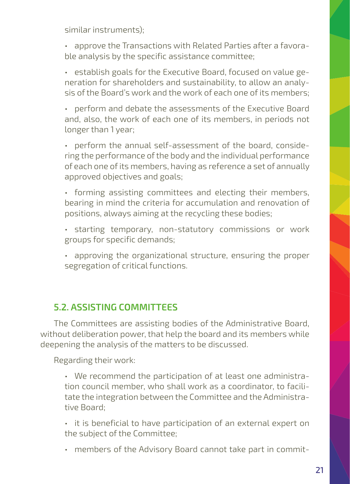similar instruments);

• approve the Transactions with Related Parties after a favorable analysis by the specific assistance committee;

• establish goals for the Executive Board, focused on value generation for shareholders and sustainability, to allow an analysis of the Board's work and the work of each one of its members;

• perform and debate the assessments of the Executive Board and, also, the work of each one of its members, in periods not longer than 1 year;

• perform the annual self-assessment of the board, considering the performance of the body and the individual performance of each one of its members, having as reference a set of annually approved objectives and goals;

• forming assisting committees and electing their members, bearing in mind the criteria for accumulation and renovation of positions, always aiming at the recycling these bodies;

- starting temporary, non-statutory commissions or work groups for specific demands;
- approving the organizational structure, ensuring the proper segregation of critical functions.

### **5.2. ASSISTING COMMITTEES**

The Committees are assisting bodies of the Administrative Board, without deliberation power, that help the board and its members while deepening the analysis of the matters to be discussed.

Regarding their work:

- We recommend the participation of at least one administration council member, who shall work as a coordinator, to facilitate the integration between the Committee and the Administrative Board;
- it is beneficial to have participation of an external expert on the subject of the Committee;
- members of the Advisory Board cannot take part in commit-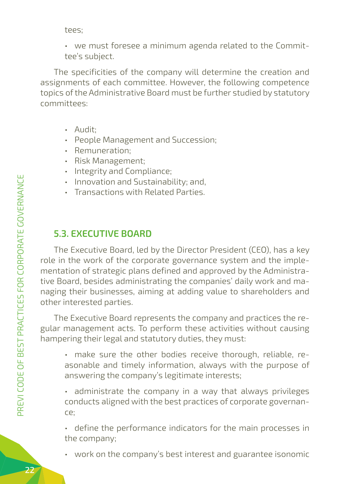tees;

• we must foresee a minimum agenda related to the Committee's subject.

The specificities of the company will determine the creation and assignments of each committee. However, the following competence topics of the Administrative Board must be further studied by statutory committees:

- Audit;
- People Management and Succession;
- Remuneration;
- Risk Management;
- Integrity and Compliance;
- Innovation and Sustainability; and,
- Transactions with Related Parties.

### **5.3. EXECUTIVE BOARD**

The Executive Board, led by the Director President (CEO), has a key role in the work of the corporate governance system and the implementation of strategic plans defined and approved by the Administrative Board, besides administrating the companies' daily work and managing their businesses, aiming at adding value to shareholders and other interested parties.

The Executive Board represents the company and practices the regular management acts. To perform these activities without causing hampering their legal and statutory duties, they must:

• make sure the other bodies receive thorough, reliable, reasonable and timely information, always with the purpose of answering the company's legitimate interests;

• administrate the company in a way that always privileges conducts aligned with the best practices of corporate governance;

• define the performance indicators for the main processes in the company;

• work on the company's best interest and guarantee isonomic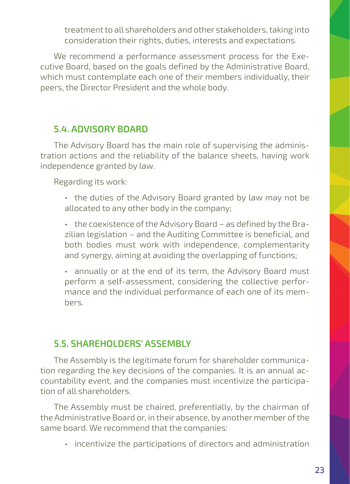treatment to all shareholders and other stakeholders, taking into consideration their rights, duties, interests and expectations.

We recommend a performance assessment process for the Executive Board, based on the goals defined by the Administrative Board, which must contemplate each one of their members individually, their peers, the Director President and the whole body.

#### **5.4. ADVISORY BOARD**

The Advisory Board has the main role of supervising the administration actions and the reliability of the balance sheets, having work independence granted by law.

Regarding its work:

• the duties of the Advisory Board granted by law may not be allocated to any other body in the company;

• the coexistence of the Advisory Board – as defined by the Brazilian legislation – and the Auditing Committee is beneficial, and both bodies must work with independence, complementarity and synergy, aiming at avoiding the overlapping of functions;

• annually or at the end of its term, the Advisory Board must perform a self-assessment, considering the collective performance and the individual performance of each one of its members.

#### **5.5. SHAREHOLDERS' ASSEMBLY**

The Assembly is the legitimate forum for shareholder communication regarding the key decisions of the companies. It is an annual accountability event, and the companies must incentivize the participation of all shareholders.

The Assembly must be chaired, preferentially, by the chairman of the Administrative Board or, in their absence, by another member of the same board. We recommend that the companies:

• incentivize the participations of directors and administration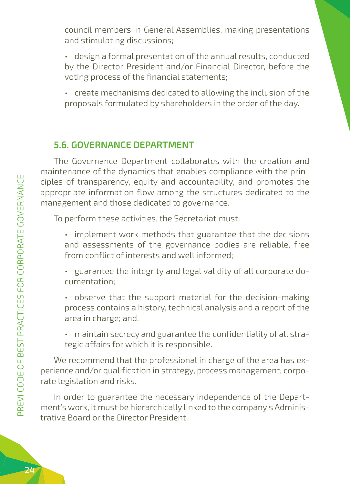council members in General Assemblies, making presentations and stimulating discussions;

- design a formal presentation of the annual results, conducted by the Director President and/or Financial Director, before the voting process of the financial statements;
- create mechanisms dedicated to allowing the inclusion of the proposals formulated by shareholders in the order of the day.

### **5.6. GOVERNANCE DEPARTMENT**

The Governance Department collaborates with the creation and maintenance of the dynamics that enables compliance with the principles of transparency, equity and accountability, and promotes the appropriate information flow among the structures dedicated to the management and those dedicated to governance.

To perform these activities, the Secretariat must:

- implement work methods that guarantee that the decisions and assessments of the governance bodies are reliable, free from conflict of interests and well informed;
- guarantee the integrity and legal validity of all corporate documentation;
- observe that the support material for the decision-making process contains a history, technical analysis and a report of the area in charge; and,
- maintain secrecy and guarantee the confidentiality of all strategic affairs for which it is responsible.

We recommend that the professional in charge of the area has experience and/or qualification in strategy, process management, corporate legislation and risks.

In order to guarantee the necessary independence of the Department's work, it must be hierarchically linked to the company's Administrative Board or the Director President.